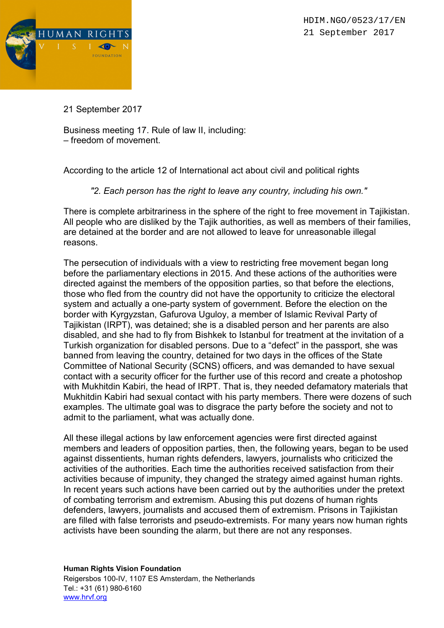

21 September 2017

Business meeting 17. Rule of law II, including: – freedom of movement.

According to the article 12 of International act about civil and political rights

"2. Each person has the right to leave any country, including his own."

There is complete arbitrariness in the sphere of the right to free movement in Tajikistan. All people who are disliked by the Tajik authorities, as well as members of their families, are detained at the border and are not allowed to leave for unreasonable illegal reasons.

The persecution of individuals with a view to restricting free movement began long before the parliamentary elections in 2015. And these actions of the authorities were directed against the members of the opposition parties, so that before the elections, those who fled from the country did not have the opportunity to criticize the electoral system and actually a one-party system of government. Before the election on the border with Kyrgyzstan, Gafurova Uguloy, a member of Islamic Revival Party of Tajikistan (IRPT), was detained; she is a disabled person and her parents are also disabled, and she had to fly from Bishkek to Istanbul for treatment at the invitation of a Turkish organization for disabled persons. Due to a "defect" in the passport, she was banned from leaving the country, detained for two days in the offices of the State Committee of National Security (SCNS) officers, and was demanded to have sexual contact with a security officer for the further use of this record and create a photoshop with Mukhitdin Kabiri, the head of IRPT. That is, they needed defamatory materials that Mukhitdin Kabiri had sexual contact with his party members. There were dozens of such examples. The ultimate goal was to disgrace the party before the society and not to admit to the parliament, what was actually done.

All these illegal actions by law enforcement agencies were first directed against members and leaders of opposition parties, then, the following years, began to be used against dissentients, human rights defenders, lawyers, journalists who criticized the activities of the authorities. Each time the authorities received satisfaction from their activities because of impunity, they changed the strategy aimed against human rights. In recent years such actions have been carried out by the authorities under the pretext of combating terrorism and extremism. Abusing this put dozens of human rights defenders, lawyers, journalists and accused them of extremism. Prisons in Tajikistan are filled with false terrorists and pseudo-extremists. For many years now human rights activists have been sounding the alarm, but there are not any responses.

Human Rights Vision Foundation

Reigersbos 100-IV, 1107 ES Amsterdam, the Netherlands Tel.: +31 (61) 980-6160 www.hrvf.org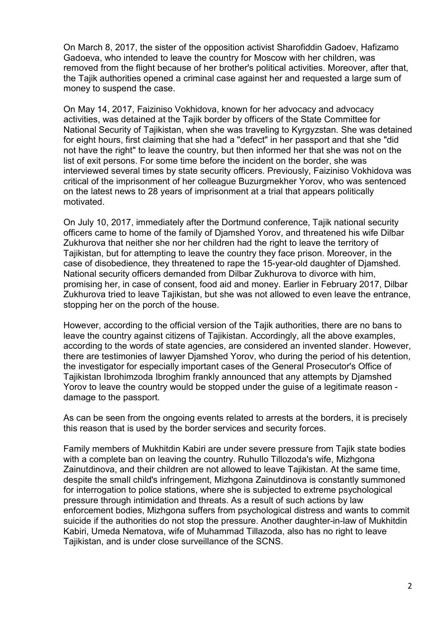On March 8, 2017, the sister of the opposition activist Sharofiddin Gadoev, Hafizamo Gadoeva, who intended to leave the country for Moscow with her children, was removed from the flight because of her brother's political activities. Moreover, after that, the Tajik authorities opened a criminal case against her and requested a large sum of money to suspend the case.

On May 14, 2017, Faiziniso Vokhidova, known for her advocacy and advocacy activities, was detained at the Tajik border by officers of the State Committee for National Security of Tajikistan, when she was traveling to Kyrgyzstan. She was detained for eight hours, first claiming that she had a "defect" in her passport and that she "did not have the right" to leave the country, but then informed her that she was not on the list of exit persons. For some time before the incident on the border, she was interviewed several times by state security officers. Previously, Faiziniso Vokhidova was critical of the imprisonment of her colleague Buzurgmekher Yorov, who was sentenced on the latest news to 28 years of imprisonment at a trial that appears politically motivated.

On July 10, 2017, immediately after the Dortmund conference, Tajik national security officers came to home of the family of Djamshed Yorov, and threatened his wife Dilbar Zukhurova that neither she nor her children had the right to leave the territory of Tajikistan, but for attempting to leave the country they face prison. Moreover, in the case of disobedience, they threatened to rape the 15-year-old daughter of Djamshed. National security officers demanded from Dilbar Zukhurova to divorce with him, promising her, in case of consent, food aid and money. Earlier in February 2017, Dilbar Zukhurova tried to leave Tajikistan, but she was not allowed to even leave the entrance, stopping her on the porch of the house.

However, according to the official version of the Tajik authorities, there are no bans to leave the country against citizens of Tajikistan. Accordingly, all the above examples, according to the words of state agencies, are considered an invented slander. However, there are testimonies of lawyer Djamshed Yorov, who during the period of his detention, the investigator for especially important cases of the General Prosecutor's Office of Tajikistan Ibrohimzoda Ibroghim frankly announced that any attempts by Djamshed Yorov to leave the country would be stopped under the guise of a legitimate reason damage to the passport.

As can be seen from the ongoing events related to arrests at the borders, it is precisely this reason that is used by the border services and security forces.

Family members of Mukhitdin Kabiri are under severe pressure from Tajik state bodies with a complete ban on leaving the country. Ruhullo Tillozoda's wife, Mizhgona Zainutdinova, and their children are not allowed to leave Tajikistan. At the same time, despite the small child's infringement, Mizhgona Zainutdinova is constantly summoned for interrogation to police stations, where she is subjected to extreme psychological pressure through intimidation and threats. As a result of such actions by law enforcement bodies, Mizhgona suffers from psychological distress and wants to commit suicide if the authorities do not stop the pressure. Another daughter-in-law of Mukhitdin Kabiri, Umeda Nematova, wife of Muhammad Tillazoda, also has no right to leave Tajikistan, and is under close surveillance of the SCNS.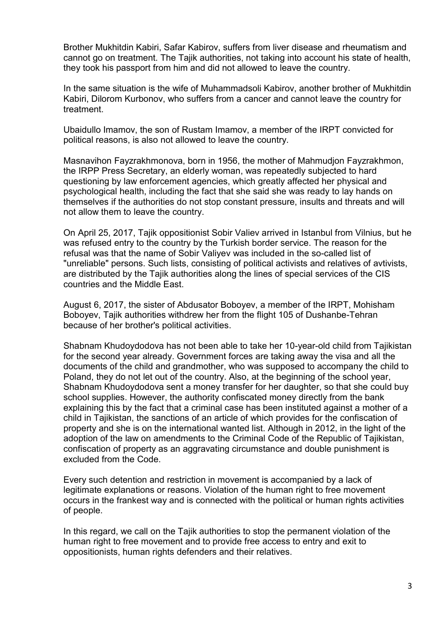Brother Mukhitdin Kabiri, Safar Kabirov, suffers from liver disease and rheumatism and cannot go on treatment. The Tajik authorities, not taking into account his state of health, they took his passport from him and did not allowed to leave the country.

In the same situation is the wife of Muhammadsoli Kabirov, another brother of Mukhitdin Kabiri, Dilorom Kurbonov, who suffers from a cancer and cannot leave the country for treatment.

Ubaidullo Imamov, the son of Rustam Imamov, a member of the IRPT convicted for political reasons, is also not allowed to leave the country.

Masnavihon Fayzrakhmonova, born in 1956, the mother of Mahmudjon Fayzrakhmon, the IRPP Press Secretary, an elderly woman, was repeatedly subjected to hard questioning by law enforcement agencies, which greatly affected her physical and psychological health, including the fact that she said she was ready to lay hands on themselves if the authorities do not stop constant pressure, insults and threats and will not allow them to leave the country.

On April 25, 2017, Tajik oppositionist Sobir Valiev arrived in Istanbul from Vilnius, but he was refused entry to the country by the Turkish border service. The reason for the refusal was that the name of Sobir Valiyev was included in the so-called list of "unreliable" persons. Such lists, consisting of political activists and relatives of avtivists, are distributed by the Tajik authorities along the lines of special services of the CIS countries and the Middle East.

August 6, 2017, the sister of Abdusator Boboyev, a member of the IRPT, Mohisham Boboyev, Tajik authorities withdrew her from the flight 105 of Dushanbe-Tehran because of her brother's political activities.

Shabnam Khudoydodova has not been able to take her 10-year-old child from Tajikistan for the second year already. Government forces are taking away the visa and all the documents of the child and grandmother, who was supposed to accompany the child to Poland, they do not let out of the country. Also, at the beginning of the school year, Shabnam Khudoydodova sent a money transfer for her daughter, so that she could buy school supplies. However, the authority confiscated money directly from the bank explaining this by the fact that a criminal case has been instituted against a mother of a child in Tajikistan, the sanctions of an article of which provides for the confiscation of property and she is on the international wanted list. Although in 2012, in the light of the adoption of the law on amendments to the Criminal Code of the Republic of Tajikistan, confiscation of property as an aggravating circumstance and double punishment is excluded from the Code.

Every such detention and restriction in movement is accompanied by a lack of legitimate explanations or reasons. Violation of the human right to free movement occurs in the frankest way and is connected with the political or human rights activities of people.

In this regard, we call on the Tajik authorities to stop the permanent violation of the human right to free movement and to provide free access to entry and exit to oppositionists, human rights defenders and their relatives.